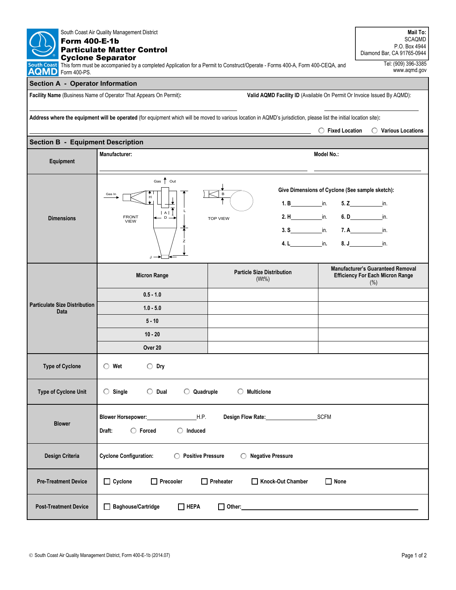| <b>Form 400-E-1b</b>                                                                                                                                                | South Coast Air Quality Management District<br><b>Particulate Matter Control</b>                             |                                                                                                                              |                  | Mail To:<br><b>SCAQMD</b><br>P.O. Box 4944<br>Diamond Bar, CA 91765-0944                    |  |  |
|---------------------------------------------------------------------------------------------------------------------------------------------------------------------|--------------------------------------------------------------------------------------------------------------|------------------------------------------------------------------------------------------------------------------------------|------------------|---------------------------------------------------------------------------------------------|--|--|
| <b>South Coast</b><br>AQMD<br>Form 400-PS.                                                                                                                          | <b>Cyclone Separator</b>                                                                                     | This form must be accompanied by a completed Application for a Permit to Construct/Operate - Forms 400-A, Form 400-CEQA, and |                  | Tel: (909) 396-3385<br>www.aqmd.gov                                                         |  |  |
| <b>Section A - Operator Information</b>                                                                                                                             |                                                                                                              |                                                                                                                              |                  |                                                                                             |  |  |
| Facility Name (Business Name of Operator That Appears On Permit):<br>Valid AQMD Facility ID (Available On Permit Or Invoice Issued By AQMD):                        |                                                                                                              |                                                                                                                              |                  |                                                                                             |  |  |
|                                                                                                                                                                     |                                                                                                              |                                                                                                                              |                  |                                                                                             |  |  |
| Address where the equipment will be operated (for equipment which will be moved to various location in AQMD's jurisdiction, please list the initial location site): |                                                                                                              |                                                                                                                              |                  |                                                                                             |  |  |
|                                                                                                                                                                     |                                                                                                              |                                                                                                                              | ◯ Fixed Location | ◯ Various Locations                                                                         |  |  |
| <b>Section B - Equipment Description</b>                                                                                                                            | Manufacturer:                                                                                                |                                                                                                                              | Model No.:       |                                                                                             |  |  |
| Equipment                                                                                                                                                           |                                                                                                              |                                                                                                                              |                  |                                                                                             |  |  |
|                                                                                                                                                                     | Gas $\uparrow$ Out<br>Give Dimensions of Cyclone (See sample sketch):                                        |                                                                                                                              |                  |                                                                                             |  |  |
|                                                                                                                                                                     | Gas In                                                                                                       |                                                                                                                              |                  |                                                                                             |  |  |
|                                                                                                                                                                     | A <br><b>FRONT</b><br>$D -$                                                                                  | $2.H$ in.                                                                                                                    |                  | 6. $D$ in                                                                                   |  |  |
| <b>Dimensions</b>                                                                                                                                                   | <b>VIEW</b>                                                                                                  | <b>TOP VIEW</b>                                                                                                              |                  |                                                                                             |  |  |
|                                                                                                                                                                     |                                                                                                              | <b>4. L</b> in.                                                                                                              |                  | 8. J in.                                                                                    |  |  |
|                                                                                                                                                                     | J.                                                                                                           |                                                                                                                              |                  |                                                                                             |  |  |
| <b>Particulate Size Distribution</b><br>Data                                                                                                                        | <b>Micron Range</b>                                                                                          | <b>Particle Size Distribution</b><br>$(Wt\%)$                                                                                |                  | <b>Manufacturer's Guaranteed Removal</b><br><b>Efficiency For Each Micron Range</b><br>(% ) |  |  |
|                                                                                                                                                                     | $0.5 - 1.0$                                                                                                  |                                                                                                                              |                  |                                                                                             |  |  |
|                                                                                                                                                                     | $1.0 - 5.0$                                                                                                  |                                                                                                                              |                  |                                                                                             |  |  |
|                                                                                                                                                                     | $5 - 10$                                                                                                     |                                                                                                                              |                  |                                                                                             |  |  |
|                                                                                                                                                                     | $10 - 20$                                                                                                    |                                                                                                                              |                  |                                                                                             |  |  |
|                                                                                                                                                                     | Over 20                                                                                                      |                                                                                                                              |                  |                                                                                             |  |  |
| <b>Type of Cyclone</b>                                                                                                                                              | Wet<br>$\bigcirc$ Dry<br>O                                                                                   |                                                                                                                              |                  |                                                                                             |  |  |
| Type of Cyclone Unit                                                                                                                                                | $\bigcirc$ Dual<br>$\bigcirc$ Quadruple<br>$\bigcirc$ Multiclone<br>$\bigcirc$ Single                        |                                                                                                                              |                  |                                                                                             |  |  |
| <b>Blower</b>                                                                                                                                                       | H.P.<br>SCFM<br>Blower Horsepower:<br>Design Flow Rate:<br>$\bigcirc$ Forced<br>$\bigcirc$ Induced<br>Draft: |                                                                                                                              |                  |                                                                                             |  |  |
| Design Criteria                                                                                                                                                     | <b>Cyclone Configuration:</b><br>◯ Positive Pressure<br><b>Negative Pressure</b><br>O.                       |                                                                                                                              |                  |                                                                                             |  |  |
| <b>Pre-Treatment Device</b>                                                                                                                                         | $\Box$ Cyclone<br>$\Box$ Precooler                                                                           | Knock-Out Chamber<br>$\Box$ Preheater                                                                                        | $\Box$ None      |                                                                                             |  |  |
| <b>Post-Treatment Device</b>                                                                                                                                        | Baghouse/Cartridge<br>$\Box$ HEPA<br>ப                                                                       |                                                                                                                              |                  |                                                                                             |  |  |